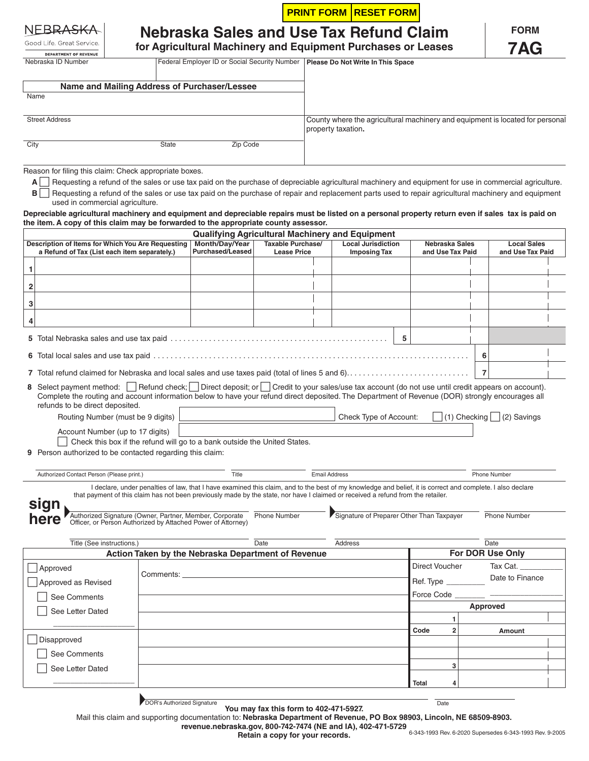|  |  | <u>NEBRASKA</u> |  |
|--|--|-----------------|--|
|  |  |                 |  |

Good Life. Great Service. **DEPARTMENT OF REVENUE** 

## **Nebraska Sales and Use Tax Refund Claim**

**for Agricultural Machinery and Equipment Purchases or Leases**

| Nebraska ID Number                           |       | Federal Employer ID or Social Security Number | Please Do Not Write In This Space                                             |
|----------------------------------------------|-------|-----------------------------------------------|-------------------------------------------------------------------------------|
|                                              |       |                                               |                                                                               |
| Name and Mailing Address of Purchaser/Lessee |       |                                               |                                                                               |
| Name                                         |       |                                               |                                                                               |
|                                              |       |                                               |                                                                               |
| <b>Street Address</b>                        |       |                                               | County where the agricultural machinery and equipment is located for personal |
|                                              |       |                                               | property taxation.                                                            |
| City                                         | State | Zip Code                                      |                                                                               |

Reason for filing this claim: Check appropriate boxes.

**A** Requesting a refund of the sales or use tax paid on the purchase of depreciable agricultural machinery and equipment for use in commercial agriculture.

**B** Requesting a refund of the sales or use tax paid on the purchase of repair and replacement parts used to repair agricultural machinery and equipment used in commercial agriculture.

**Depreciable agricultural machinery and equipment and depreciable repairs must be listed on a personal property return even if sales tax is paid on the item. A copy of this claim may be forwarded to the appropriate county assessor.**

|                         |                                                                                                                                                                                                                                                                                                                                                                                                                                                                                                                               |                                                                                             |                                                                                                                       |  | <b>Qualifying Agricultural Machinery and Equipment</b> |                        |                                    |                              |                                        |  |  |
|-------------------------|-------------------------------------------------------------------------------------------------------------------------------------------------------------------------------------------------------------------------------------------------------------------------------------------------------------------------------------------------------------------------------------------------------------------------------------------------------------------------------------------------------------------------------|---------------------------------------------------------------------------------------------|-----------------------------------------------------------------------------------------------------------------------|--|--------------------------------------------------------|------------------------|------------------------------------|------------------------------|----------------------------------------|--|--|
|                         | Description of Items for Which You Are Requesting                                                                                                                                                                                                                                                                                                                                                                                                                                                                             | Month/Day/Year<br><b>Taxable Purchase/</b><br><b>Purchased/Leased</b><br><b>Lease Price</b> |                                                                                                                       |  | <b>Local Jurisdiction</b>                              |                        | Nebraska Sales<br>and Use Tax Paid |                              | <b>Local Sales</b><br>and Use Tax Paid |  |  |
|                         | a Refund of Tax (List each item separately.)                                                                                                                                                                                                                                                                                                                                                                                                                                                                                  |                                                                                             |                                                                                                                       |  | <b>Imposing Tax</b>                                    |                        |                                    |                              |                                        |  |  |
| 1                       |                                                                                                                                                                                                                                                                                                                                                                                                                                                                                                                               |                                                                                             |                                                                                                                       |  |                                                        |                        |                                    |                              |                                        |  |  |
| $\overline{\mathbf{c}}$ |                                                                                                                                                                                                                                                                                                                                                                                                                                                                                                                               |                                                                                             |                                                                                                                       |  |                                                        |                        |                                    |                              |                                        |  |  |
| 3                       |                                                                                                                                                                                                                                                                                                                                                                                                                                                                                                                               |                                                                                             |                                                                                                                       |  |                                                        |                        |                                    |                              |                                        |  |  |
| 4                       |                                                                                                                                                                                                                                                                                                                                                                                                                                                                                                                               |                                                                                             |                                                                                                                       |  |                                                        |                        |                                    |                              |                                        |  |  |
|                         |                                                                                                                                                                                                                                                                                                                                                                                                                                                                                                                               |                                                                                             |                                                                                                                       |  |                                                        | 5                      |                                    |                              |                                        |  |  |
|                         |                                                                                                                                                                                                                                                                                                                                                                                                                                                                                                                               |                                                                                             |                                                                                                                       |  |                                                        |                        | 6                                  |                              |                                        |  |  |
|                         |                                                                                                                                                                                                                                                                                                                                                                                                                                                                                                                               |                                                                                             |                                                                                                                       |  |                                                        |                        | $\overline{7}$                     |                              |                                        |  |  |
|                         | 8 Select payment method: Refund check; Direct deposit; or Credit to your sales/use tax account (do not use until credit appears on account).<br>Complete the routing and account information below to have your refund direct deposited. The Department of Revenue (DOR) strongly encourages all<br>refunds to be direct deposited.                                                                                                                                                                                           |                                                                                             |                                                                                                                       |  |                                                        |                        |                                    |                              |                                        |  |  |
|                         | Routing Number (must be 9 digits)                                                                                                                                                                                                                                                                                                                                                                                                                                                                                             |                                                                                             | <u> 1989 - Johann Barn, mars ann an t-Amhain an t-Amhain an t-Amhain an t-Amhain an t-Amhain an t-Amhain an t-Amh</u> |  | Check Type of Account:                                 |                        |                                    | $(1)$ Checking $(2)$ Savings |                                        |  |  |
|                         | Account Number (up to 17 digits)<br>Check this box if the refund will go to a bank outside the United States.<br>9 Person authorized to be contacted regarding this claim:                                                                                                                                                                                                                                                                                                                                                    |                                                                                             |                                                                                                                       |  |                                                        |                        |                                    |                              |                                        |  |  |
|                         | Authorized Contact Person (Please print.)                                                                                                                                                                                                                                                                                                                                                                                                                                                                                     | Title<br><b>Email Address</b><br><b>Phone Number</b>                                        |                                                                                                                       |  |                                                        |                        |                                    |                              |                                        |  |  |
|                         | I declare, under penalties of law, that I have examined this claim, and to the best of my knowledge and belief, it is correct and complete. I also declare<br>that payment of this claim has not been previously made by the state, nor have I claimed or received a refund from the retailer.<br>sign<br>Signature of Preparer Other Than Taxpayer<br>Authorized Signature (Owner, Partner, Member, Corporate<br>Officer, or Person Authorized by Attached Power of Attorney)<br>Phone Number<br><b>Phone Number</b><br>here |                                                                                             |                                                                                                                       |  |                                                        |                        |                                    |                              |                                        |  |  |
|                         | Title (See instructions.)                                                                                                                                                                                                                                                                                                                                                                                                                                                                                                     |                                                                                             | Date                                                                                                                  |  | Address                                                |                        |                                    | Date                         |                                        |  |  |
|                         |                                                                                                                                                                                                                                                                                                                                                                                                                                                                                                                               | Action Taken by the Nebraska Department of Revenue                                          |                                                                                                                       |  |                                                        | For DOR Use Only       |                                    |                              |                                        |  |  |
|                         | Approved                                                                                                                                                                                                                                                                                                                                                                                                                                                                                                                      |                                                                                             |                                                                                                                       |  |                                                        | Direct Voucher         |                                    | Tax Cat.                     |                                        |  |  |
|                         | Approved as Revised                                                                                                                                                                                                                                                                                                                                                                                                                                                                                                           |                                                                                             |                                                                                                                       |  |                                                        | Ref. Type              |                                    | Date to Finance              |                                        |  |  |
|                         | Force Code ________ -<br>See Comments                                                                                                                                                                                                                                                                                                                                                                                                                                                                                         |                                                                                             |                                                                                                                       |  |                                                        |                        |                                    |                              |                                        |  |  |
|                         | See Letter Dated                                                                                                                                                                                                                                                                                                                                                                                                                                                                                                              |                                                                                             |                                                                                                                       |  |                                                        |                        | Approved                           |                              |                                        |  |  |
|                         |                                                                                                                                                                                                                                                                                                                                                                                                                                                                                                                               |                                                                                             |                                                                                                                       |  |                                                        |                        | 1                                  |                              |                                        |  |  |
|                         | Disapproved                                                                                                                                                                                                                                                                                                                                                                                                                                                                                                                   |                                                                                             |                                                                                                                       |  |                                                        | Code<br>$\overline{2}$ |                                    | Amount                       |                                        |  |  |
|                         | See Comments                                                                                                                                                                                                                                                                                                                                                                                                                                                                                                                  |                                                                                             |                                                                                                                       |  |                                                        |                        |                                    |                              |                                        |  |  |
|                         | See Letter Dated                                                                                                                                                                                                                                                                                                                                                                                                                                                                                                              |                                                                                             |                                                                                                                       |  |                                                        |                        | 3                                  |                              |                                        |  |  |
|                         |                                                                                                                                                                                                                                                                                                                                                                                                                                                                                                                               |                                                                                             |                                                                                                                       |  |                                                        | Total                  | 4                                  |                              |                                        |  |  |
|                         | DOR's Authorized Signature                                                                                                                                                                                                                                                                                                                                                                                                                                                                                                    |                                                                                             |                                                                                                                       |  |                                                        | Date                   |                                    |                              |                                        |  |  |
|                         |                                                                                                                                                                                                                                                                                                                                                                                                                                                                                                                               |                                                                                             | You may fax this form to 402-471-5927.                                                                                |  |                                                        |                        |                                    |                              |                                        |  |  |

Mail this claim and supporting documentation to: **Nebraska Department of Revenue, PO Box 98903, Lincoln, NE 68509-8903.**

**revenue.nebraska.gov, 800-742-7474 (NE and IA), 402-471-5729**

**FORM 7AG**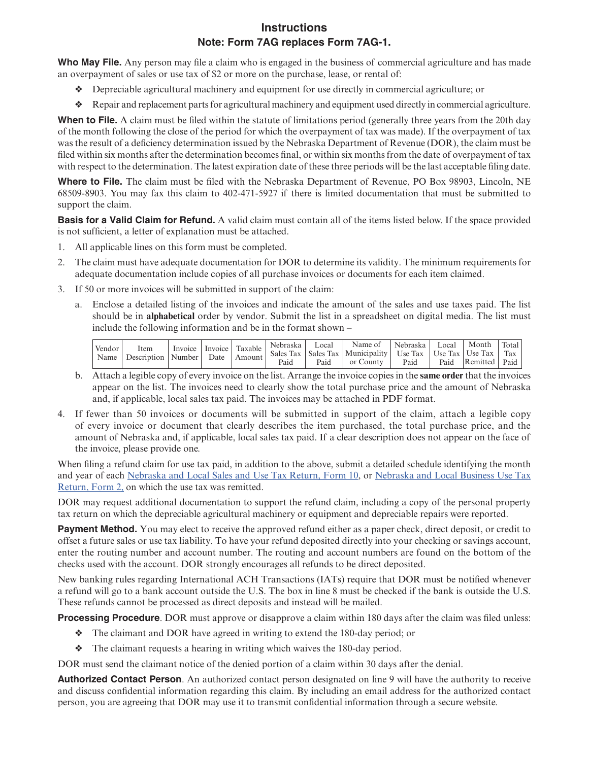## **Instructions Note: Form 7AG replaces Form 7AG-1.**

Who May File. Any person may file a claim who is engaged in the business of commercial agriculture and has made an overpayment of sales or use tax of \$2 or more on the purchase, lease, or rental of:

- ❖ Depreciable agricultural machinery and equipment for use directly in commercial agriculture; or
- ❖ Repair and replacement parts for agricultural machinery and equipment used directly in commercial agriculture.

**When to File.** A claim must be filed within the statute of limitations period (generally three years from the 20th day of the month following the close of the period for which the overpayment of tax was made). If the overpayment of tax was the result of a deficiency determination issued by the Nebraska Department of Revenue (DOR), the claim must be filed within six months after the determination becomes final, or within six months from the date of overpayment of tax with respect to the determination. The latest expiration date of these three periods will be the last acceptable filing date.

**Where to File.** The claim must be filed with the Nebraska Department of Revenue, PO Box 98903, Lincoln, NE 68509-8903. You may fax this claim to 402-471-5927 if there is limited documentation that must be submitted to support the claim.

**Basis for a Valid Claim for Refund.** A valid claim must contain all of the items listed below. If the space provided is not sufficient, a letter of explanation must be attached.

- 1. All applicable lines on this form must be completed.
- 2. The claim must have adequate documentation for DOR to determine its validity. The minimum requirements for adequate documentation include copies of all purchase invoices or documents for each item claimed.
- 3. If 50 or more invoices will be submitted in support of the claim:
	- a. Enclose a detailed listing of the invoices and indicate the amount of the sales and use taxes paid. The list should be in **alphabetical** order by vendor. Submit the list in a spreadsheet on digital media. The list must include the following information and be in the format shown –

| Vendor.<br>Name | ltem<br>Description 1 | Invoice<br>Number | Invoice<br>Date | Taxable<br>Amount | Nebraska<br>Sales Tax<br>Paid | ∟ocal<br>Paid | Name of<br>Sales Tax   Municipality   Use Tax   Use Tax   Use Tax  <br>or County | Nebraska<br>Paid | ocal<br>Paid | Month<br>Remitted | Total<br>Tax<br>Paid |
|-----------------|-----------------------|-------------------|-----------------|-------------------|-------------------------------|---------------|----------------------------------------------------------------------------------|------------------|--------------|-------------------|----------------------|
|-----------------|-----------------------|-------------------|-----------------|-------------------|-------------------------------|---------------|----------------------------------------------------------------------------------|------------------|--------------|-------------------|----------------------|

- b. Attach a legible copy of every invoice on the list. Arrange the invoice copies in the **same order** that the invoices appear on the list. The invoices need to clearly show the total purchase price and the amount of Nebraska and, if applicable, local sales tax paid. The invoices may be attached in PDF format.
- 4. If fewer than 50 invoices or documents will be submitted in support of the claim, attach a legible copy of every invoice or document that clearly describes the item purchased, the total purchase price, and the amount of Nebraska and, if applicable, local sales tax paid. If a clear description does not appear on the face of the invoice, please provide one.

When filing a refund claim for use tax paid, in addition to the above, submit a detailed schedule identifying the month and year of each [Nebraska and Local Sales and Use Tax Return, Form 10,](https://revenue.nebraska.gov/files/doc/tax-forms/f_10.pdf) or [Nebraska and Local Business Use Tax](https://revenue.nebraska.gov/files/doc/tax-forms/f_2.pdf)  [Return, Form 2,](https://revenue.nebraska.gov/files/doc/tax-forms/f_2.pdf) on which the use tax was remitted.

DOR may request additional documentation to support the refund claim, including a copy of the personal property tax return on which the depreciable agricultural machinery or equipment and depreciable repairs were reported.

**Payment Method.** You may elect to receive the approved refund either as a paper check, direct deposit, or credit to offset a future sales or use tax liability. To have your refund deposited directly into your checking or savings account, enter the routing number and account number. The routing and account numbers are found on the bottom of the checks used with the account. DOR strongly encourages all refunds to be direct deposited.

New banking rules regarding International ACH Transactions (IATs) require that DOR must be notified whenever a refund will go to a bank account outside the U.S. The box in line 8 must be checked if the bank is outside the U.S. These refunds cannot be processed as direct deposits and instead will be mailed.

**Processing Procedure**. DOR must approve or disapprove a claim within 180 days after the claim was filed unless:

- ❖ The claimant and DOR have agreed in writing to extend the 180-day period; or
- ❖ The claimant requests a hearing in writing which waives the 180-day period.

DOR must send the claimant notice of the denied portion of a claim within 30 days after the denial.

**Authorized Contact Person**. An authorized contact person designated on line 9 will have the authority to receive and discuss confidential information regarding this claim. By including an email address for the authorized contact person, you are agreeing that DOR may use it to transmit confidential information through a secure website.